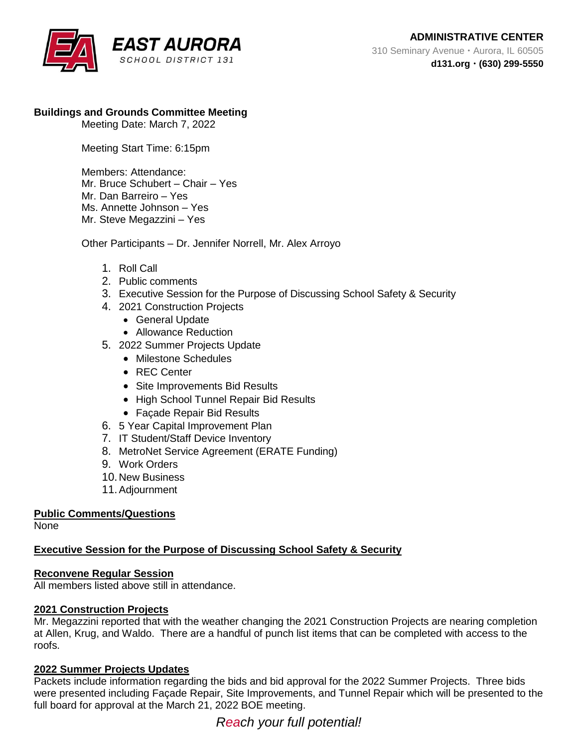

## **Buildings and Grounds Committee Meeting**

Meeting Date: March 7, 2022

Meeting Start Time: 6:15pm

Members: Attendance: Mr. Bruce Schubert – Chair – Yes Mr. Dan Barreiro – Yes Ms. Annette Johnson – Yes Mr. Steve Megazzini – Yes

Other Participants – Dr. Jennifer Norrell, Mr. Alex Arroyo

- 1. Roll Call
- 2. Public comments
- 3. Executive Session for the Purpose of Discussing School Safety & Security
- 4. 2021 Construction Projects
	- General Update
	- Allowance Reduction
- 5. 2022 Summer Projects Update
	- Milestone Schedules
	- REC Center
	- Site Improvements Bid Results
	- High School Tunnel Repair Bid Results
	- Façade Repair Bid Results
- 6. 5 Year Capital Improvement Plan
- 7. IT Student/Staff Device Inventory
- 8. MetroNet Service Agreement (ERATE Funding)
- 9. Work Orders
- 10. New Business
- 11.Adjournment

# **Public Comments/Questions**

None

# **Executive Session for the Purpose of Discussing School Safety & Security**

### **Reconvene Regular Session**

All members listed above still in attendance.

### **2021 Construction Projects**

Mr. Megazzini reported that with the weather changing the 2021 Construction Projects are nearing completion at Allen, Krug, and Waldo. There are a handful of punch list items that can be completed with access to the roofs.

### **2022 Summer Projects Updates**

Packets include information regarding the bids and bid approval for the 2022 Summer Projects. Three bids were presented including Façade Repair, Site Improvements, and Tunnel Repair which will be presented to the full board for approval at the March 21, 2022 BOE meeting.

*Reach your full potential!*